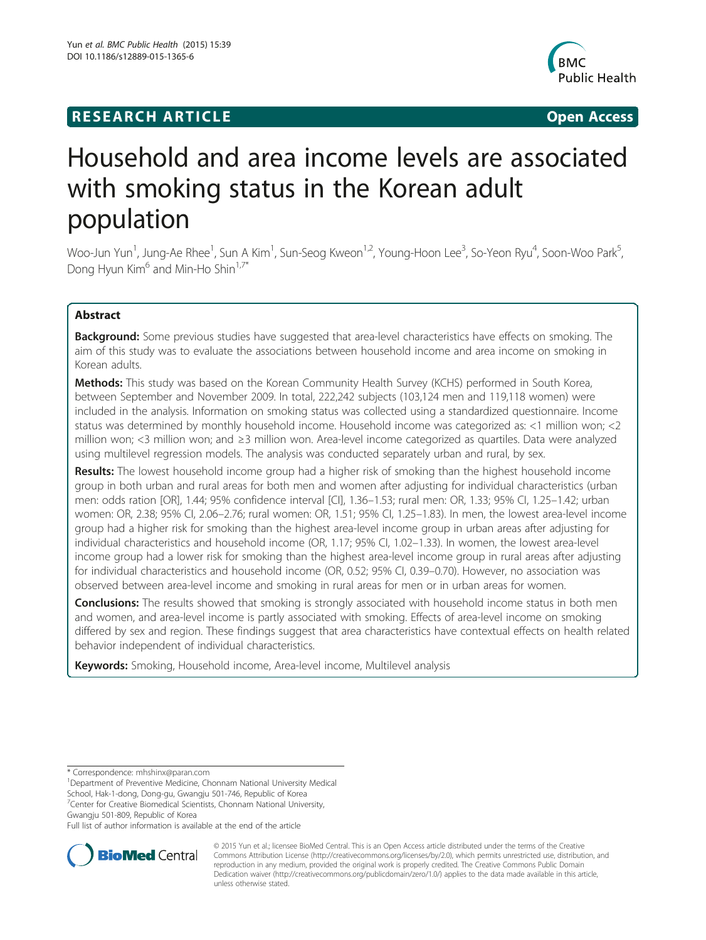## **RESEARCH ARTICLE CONSUMING A RESEARCH ARTICLE**



# Household and area income levels are associated with smoking status in the Korean adult population

Woo-Jun Yun<sup>1</sup>, Jung-Ae Rhee<sup>1</sup>, Sun A Kim<sup>1</sup>, Sun-Seog Kweon<sup>1,2</sup>, Young-Hoon Lee<sup>3</sup>, So-Yeon Ryu<sup>4</sup>, Soon-Woo Park<sup>5</sup> .<br>, Dong Hyun Kim $^6$  and Min-Ho Shin<sup>1,7\*</sup>

## Abstract

**Background:** Some previous studies have suggested that area-level characteristics have effects on smoking. The aim of this study was to evaluate the associations between household income and area income on smoking in Korean adults.

Methods: This study was based on the Korean Community Health Survey (KCHS) performed in South Korea, between September and November 2009. In total, 222,242 subjects (103,124 men and 119,118 women) were included in the analysis. Information on smoking status was collected using a standardized questionnaire. Income status was determined by monthly household income. Household income was categorized as: <1 million won; <2 million won; <3 million won; and ≥3 million won. Area-level income categorized as quartiles. Data were analyzed using multilevel regression models. The analysis was conducted separately urban and rural, by sex.

Results: The lowest household income group had a higher risk of smoking than the highest household income group in both urban and rural areas for both men and women after adjusting for individual characteristics (urban men: odds ration [OR], 1.44; 95% confidence interval [CI], 1.36–1.53; rural men: OR, 1.33; 95% CI, 1.25–1.42; urban women: OR, 2.38; 95% CI, 2.06–2.76; rural women: OR, 1.51; 95% CI, 1.25–1.83). In men, the lowest area-level income group had a higher risk for smoking than the highest area-level income group in urban areas after adjusting for individual characteristics and household income (OR, 1.17; 95% CI, 1.02–1.33). In women, the lowest area-level income group had a lower risk for smoking than the highest area-level income group in rural areas after adjusting for individual characteristics and household income (OR, 0.52; 95% CI, 0.39–0.70). However, no association was observed between area-level income and smoking in rural areas for men or in urban areas for women.

**Conclusions:** The results showed that smoking is strongly associated with household income status in both men and women, and area-level income is partly associated with smoking. Effects of area-level income on smoking differed by sex and region. These findings suggest that area characteristics have contextual effects on health related behavior independent of individual characteristics.

Keywords: Smoking, Household income, Area-level income, Multilevel analysis

<sup>1</sup>Department of Preventive Medicine, Chonnam National University Medical School, Hak-1-dong, Dong-gu, Gwangju 501-746, Republic of Korea

<sup>7</sup> Center for Creative Biomedical Scientists, Chonnam National University, Gwangju 501-809, Republic of Korea

Full list of author information is available at the end of the article



© 2015 Yun et al.; licensee BioMed Central. This is an Open Access article distributed under the terms of the Creative Commons Attribution License [\(http://creativecommons.org/licenses/by/2.0\)](http://creativecommons.org/licenses/by/2.0), which permits unrestricted use, distribution, and reproduction in any medium, provided the original work is properly credited. The Creative Commons Public Domain Dedication waiver [\(http://creativecommons.org/publicdomain/zero/1.0/](http://creativecommons.org/publicdomain/zero/1.0/)) applies to the data made available in this article, unless otherwise stated.

<sup>\*</sup> Correspondence: [mhshinx@paran.com](mailto:mhshinx@paran.com) <sup>1</sup>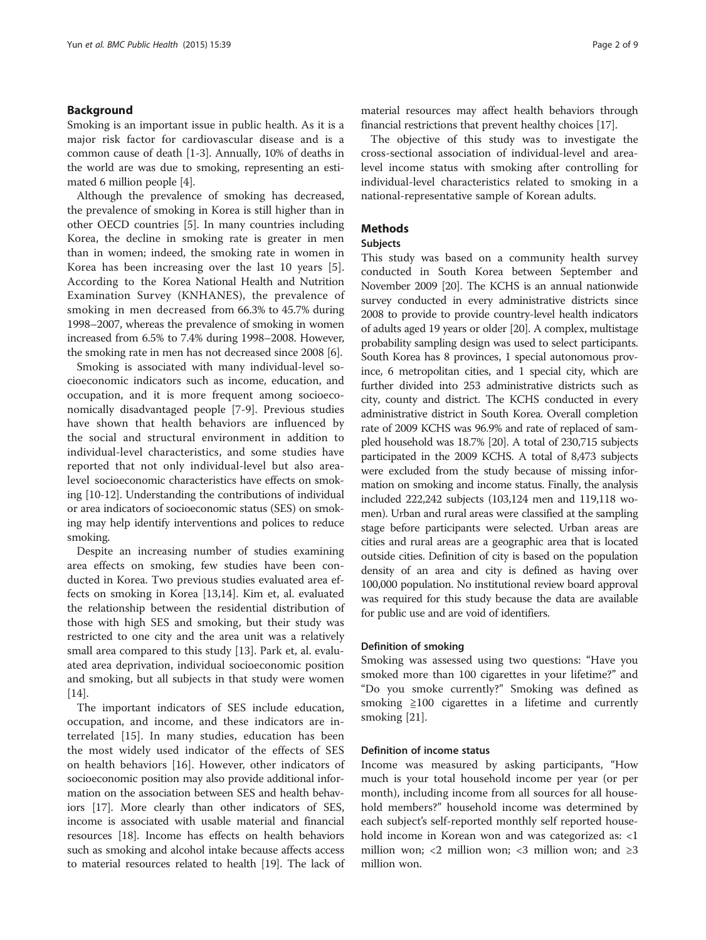## Background

Smoking is an important issue in public health. As it is a major risk factor for cardiovascular disease and is a common cause of death [\[1-3](#page-7-0)]. Annually, 10% of deaths in the world are was due to smoking, representing an estimated 6 million people [[4\]](#page-7-0).

Although the prevalence of smoking has decreased, the prevalence of smoking in Korea is still higher than in other OECD countries [[5\]](#page-7-0). In many countries including Korea, the decline in smoking rate is greater in men than in women; indeed, the smoking rate in women in Korea has been increasing over the last 10 years [\[5](#page-7-0)]. According to the Korea National Health and Nutrition Examination Survey (KNHANES), the prevalence of smoking in men decreased from 66.3% to 45.7% during 1998–2007, whereas the prevalence of smoking in women increased from 6.5% to 7.4% during 1998–2008. However, the smoking rate in men has not decreased since 2008 [\[6](#page-7-0)].

Smoking is associated with many individual-level socioeconomic indicators such as income, education, and occupation, and it is more frequent among socioeconomically disadvantaged people [[7-9](#page-7-0)]. Previous studies have shown that health behaviors are influenced by the social and structural environment in addition to individual-level characteristics, and some studies have reported that not only individual-level but also arealevel socioeconomic characteristics have effects on smoking [\[10-12\]](#page-7-0). Understanding the contributions of individual or area indicators of socioeconomic status (SES) on smoking may help identify interventions and polices to reduce smoking.

Despite an increasing number of studies examining area effects on smoking, few studies have been conducted in Korea. Two previous studies evaluated area effects on smoking in Korea [\[13,14\]](#page-7-0). Kim et, al. evaluated the relationship between the residential distribution of those with high SES and smoking, but their study was restricted to one city and the area unit was a relatively small area compared to this study [\[13](#page-7-0)]. Park et, al. evaluated area deprivation, individual socioeconomic position and smoking, but all subjects in that study were women [[14\]](#page-7-0).

The important indicators of SES include education, occupation, and income, and these indicators are interrelated [\[15](#page-7-0)]. In many studies, education has been the most widely used indicator of the effects of SES on health behaviors [\[16](#page-7-0)]. However, other indicators of socioeconomic position may also provide additional information on the association between SES and health behaviors [[17](#page-7-0)]. More clearly than other indicators of SES, income is associated with usable material and financial resources [[18](#page-7-0)]. Income has effects on health behaviors such as smoking and alcohol intake because affects access to material resources related to health [\[19](#page-7-0)]. The lack of

material resources may affect health behaviors through financial restrictions that prevent healthy choices [\[17\]](#page-7-0).

The objective of this study was to investigate the cross-sectional association of individual-level and arealevel income status with smoking after controlling for individual-level characteristics related to smoking in a national-representative sample of Korean adults.

## Methods

## Subjects

This study was based on a community health survey conducted in South Korea between September and November 2009 [[20](#page-7-0)]. The KCHS is an annual nationwide survey conducted in every administrative districts since 2008 to provide to provide country-level health indicators of adults aged 19 years or older [\[20\]](#page-7-0). A complex, multistage probability sampling design was used to select participants. South Korea has 8 provinces, 1 special autonomous province, 6 metropolitan cities, and 1 special city, which are further divided into 253 administrative districts such as city, county and district. The KCHS conducted in every administrative district in South Korea. Overall completion rate of 2009 KCHS was 96.9% and rate of replaced of sampled household was 18.7% [\[20](#page-7-0)]. A total of 230,715 subjects participated in the 2009 KCHS. A total of 8,473 subjects were excluded from the study because of missing information on smoking and income status. Finally, the analysis included 222,242 subjects (103,124 men and 119,118 women). Urban and rural areas were classified at the sampling stage before participants were selected. Urban areas are cities and rural areas are a geographic area that is located outside cities. Definition of city is based on the population density of an area and city is defined as having over 100,000 population. No institutional review board approval was required for this study because the data are available for public use and are void of identifiers.

## Definition of smoking

Smoking was assessed using two questions: "Have you smoked more than 100 cigarettes in your lifetime?" and "Do you smoke currently?" Smoking was defined as smoking  $\geq 100$  cigarettes in a lifetime and currently smoking [\[21](#page-7-0)].

## Definition of income status

Income was measured by asking participants, "How much is your total household income per year (or per month), including income from all sources for all household members?" household income was determined by each subject's self-reported monthly self reported household income in Korean won and was categorized as: <1 million won; <2 million won; <3 million won; and  $\geq 3$ million won.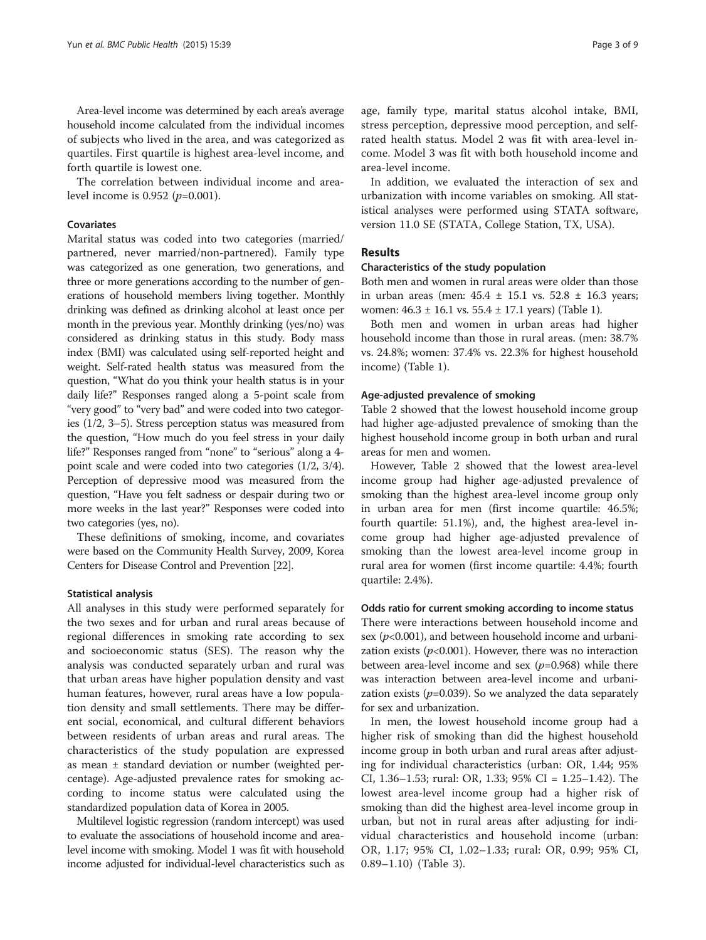Area-level income was determined by each area's average household income calculated from the individual incomes of subjects who lived in the area, and was categorized as quartiles. First quartile is highest area-level income, and forth quartile is lowest one.

The correlation between individual income and arealevel income is 0.952 ( $p=0.001$ ).

## Covariates

Marital status was coded into two categories (married/ partnered, never married/non-partnered). Family type was categorized as one generation, two generations, and three or more generations according to the number of generations of household members living together. Monthly drinking was defined as drinking alcohol at least once per month in the previous year. Monthly drinking (yes/no) was considered as drinking status in this study. Body mass index (BMI) was calculated using self-reported height and weight. Self-rated health status was measured from the question, "What do you think your health status is in your daily life?" Responses ranged along a 5-point scale from "very good" to "very bad" and were coded into two categories (1/2, 3–5). Stress perception status was measured from the question, "How much do you feel stress in your daily life?" Responses ranged from "none" to "serious" along a 4 point scale and were coded into two categories (1/2, 3/4). Perception of depressive mood was measured from the question, "Have you felt sadness or despair during two or more weeks in the last year?" Responses were coded into two categories (yes, no).

These definitions of smoking, income, and covariates were based on the Community Health Survey, 2009, Korea Centers for Disease Control and Prevention [\[22\]](#page-7-0).

## Statistical analysis

All analyses in this study were performed separately for the two sexes and for urban and rural areas because of regional differences in smoking rate according to sex and socioeconomic status (SES). The reason why the analysis was conducted separately urban and rural was that urban areas have higher population density and vast human features, however, rural areas have a low population density and small settlements. There may be different social, economical, and cultural different behaviors between residents of urban areas and rural areas. The characteristics of the study population are expressed as mean ± standard deviation or number (weighted percentage). Age-adjusted prevalence rates for smoking according to income status were calculated using the standardized population data of Korea in 2005.

Multilevel logistic regression (random intercept) was used to evaluate the associations of household income and arealevel income with smoking. Model 1 was fit with household income adjusted for individual-level characteristics such as

age, family type, marital status alcohol intake, BMI, stress perception, depressive mood perception, and selfrated health status. Model 2 was fit with area-level income. Model 3 was fit with both household income and area-level income.

In addition, we evaluated the interaction of sex and urbanization with income variables on smoking. All statistical analyses were performed using STATA software, version 11.0 SE (STATA, College Station, TX, USA).

## Results

## Characteristics of the study population

Both men and women in rural areas were older than those in urban areas (men:  $45.4 \pm 15.1$  vs.  $52.8 \pm 16.3$  years; women:  $46.3 \pm 16.1$  $46.3 \pm 16.1$  $46.3 \pm 16.1$  vs.  $55.4 \pm 17.1$  years) (Table 1).

Both men and women in urban areas had higher household income than those in rural areas. (men: 38.7% vs. 24.8%; women: 37.4% vs. 22.3% for highest household income) (Table [1](#page-3-0)).

## Age-adjusted prevalence of smoking

Table [2](#page-3-0) showed that the lowest household income group had higher age-adjusted prevalence of smoking than the highest household income group in both urban and rural areas for men and women.

However, Table [2](#page-3-0) showed that the lowest area-level income group had higher age-adjusted prevalence of smoking than the highest area-level income group only in urban area for men (first income quartile: 46.5%; fourth quartile: 51.1%), and, the highest area-level income group had higher age-adjusted prevalence of smoking than the lowest area-level income group in rural area for women (first income quartile: 4.4%; fourth quartile: 2.4%).

## Odds ratio for current smoking according to income status

There were interactions between household income and sex  $(p<0.001)$ , and between household income and urbanization exists  $(p<0.001)$ . However, there was no interaction between area-level income and sex  $(p=0.968)$  while there was interaction between area-level income and urbanization exists ( $p$ =0.039). So we analyzed the data separately for sex and urbanization.

In men, the lowest household income group had a higher risk of smoking than did the highest household income group in both urban and rural areas after adjusting for individual characteristics (urban: OR, 1.44; 95% CI, 1.36–1.53; rural: OR, 1.33; 95% CI = 1.25–1.42). The lowest area-level income group had a higher risk of smoking than did the highest area-level income group in urban, but not in rural areas after adjusting for individual characteristics and household income (urban: OR, 1.17; 95% CI, 1.02–1.33; rural: OR, 0.99; 95% CI, 0.89–1.10) (Table [3](#page-4-0)).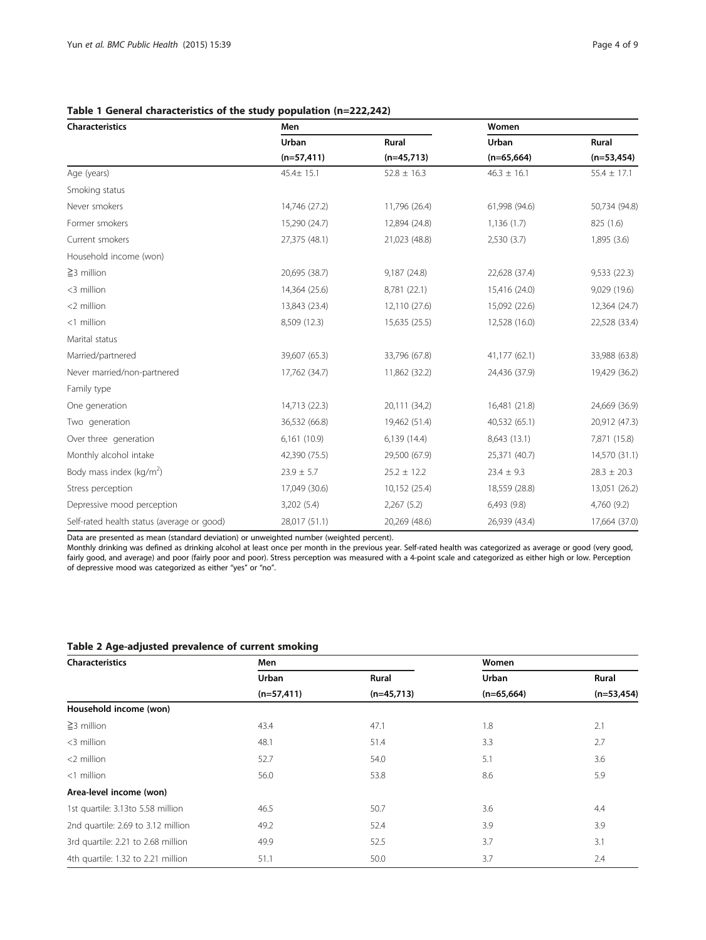<span id="page-3-0"></span>

| <b>Characteristics</b>                     | Men                    |                       | Women                 |                       |
|--------------------------------------------|------------------------|-----------------------|-----------------------|-----------------------|
|                                            | Urban<br>$(n=57, 411)$ | Rural<br>$(n=45,713)$ | Urban<br>$(n=65,664)$ | Rural<br>$(n=53,454)$ |
|                                            |                        |                       |                       |                       |
| Age (years)                                | 45.4± 15.1             | $52.8 \pm 16.3$       | $46.3 \pm 16.1$       | $55.4 \pm 17.1$       |
| Smoking status                             |                        |                       |                       |                       |
| Never smokers                              | 14,746 (27.2)          | 11,796 (26.4)         | 61,998 (94.6)         | 50,734 (94.8)         |
| Former smokers                             | 15,290 (24.7)          | 12,894 (24.8)         | 1,136(1.7)            | 825 (1.6)             |
| Current smokers                            | 27,375 (48.1)          | 21,023 (48.8)         | 2,530(3.7)            | 1,895 (3.6)           |
| Household income (won)                     |                        |                       |                       |                       |
| $\geq$ 3 million                           | 20,695 (38.7)          | 9,187 (24.8)          | 22,628 (37.4)         | 9,533 (22.3)          |
| <3 million                                 | 14,364 (25.6)          | 8,781 (22.1)          | 15,416 (24.0)         | 9,029 (19.6)          |
| <2 million                                 | 13,843 (23.4)          | 12,110 (27.6)         | 15,092 (22.6)         | 12,364 (24.7)         |
| <1 million                                 | 8,509 (12.3)           | 15,635 (25.5)         | 12,528 (16.0)         | 22,528 (33.4)         |
| Marital status                             |                        |                       |                       |                       |
| Married/partnered                          | 39,607 (65.3)          | 33,796 (67.8)         | 41,177 (62.1)         | 33,988 (63.8)         |
| Never married/non-partnered                | 17,762 (34.7)          | 11,862 (32.2)         | 24,436 (37.9)         | 19,429 (36.2)         |
| Family type                                |                        |                       |                       |                       |
| One generation                             | 14,713 (22.3)          | 20,111 (34,2)         | 16,481 (21.8)         | 24,669 (36.9)         |
| Two generation                             | 36,532 (66.8)          | 19,462 (51.4)         | 40,532 (65.1)         | 20,912 (47.3)         |
| Over three generation                      | 6,161(10.9)            | 6,139 (14.4)          | 8,643 (13.1)          | 7,871 (15.8)          |
| Monthly alcohol intake                     | 42,390 (75.5)          | 29,500 (67.9)         | 25,371 (40.7)         | 14,570 (31.1)         |
| Body mass index ( $kg/m2$ )                | $23.9 \pm 5.7$         | $25.2 \pm 12.2$       | $23.4 \pm 9.3$        | $28.3 \pm 20.3$       |
| Stress perception                          | 17,049 (30.6)          | 10,152 (25.4)         | 18,559 (28.8)         | 13,051 (26.2)         |
| Depressive mood perception                 | 3,202 (5.4)            | 2,267(5.2)            | 6,493 (9.8)           | 4,760 (9.2)           |
| Self-rated health status (average or good) | 28,017 (51.1)          | 20,269 (48.6)         | 26,939 (43.4)         | 17,664 (37.0)         |

Data are presented as mean (standard deviation) or unweighted number (weighted percent).

Monthly drinking was defined as drinking alcohol at least once per month in the previous year. Self-rated health was categorized as average or good (very good, fairly good, and average) and poor (fairly poor and poor). Stress perception was measured with a 4-point scale and categorized as either high or low. Perception of depressive mood was categorized as either "yes" or "no".

## Table 2 Age-adjusted prevalence of current smoking

| <b>Characteristics</b>             | Men                   |                       | Women                 |                        |                        |
|------------------------------------|-----------------------|-----------------------|-----------------------|------------------------|------------------------|
|                                    | Urban<br>$(n=57,411)$ | Rural<br>$(n=45,713)$ | Urban<br>$(n=65,664)$ | Rural<br>$(n=53, 454)$ |                        |
|                                    |                       |                       |                       |                        | Household income (won) |
| $\geq$ 3 million                   | 43.4                  | 47.1                  | 1.8                   | 2.1                    |                        |
| <3 million                         | 48.1                  | 51.4                  | 3.3                   | 2.7                    |                        |
| $<$ 2 million                      | 52.7                  | 54.0                  | 5.1                   | 3.6                    |                        |
| $<$ 1 million                      | 56.0                  | 53.8                  | 8.6                   | 5.9                    |                        |
| Area-level income (won)            |                       |                       |                       |                        |                        |
| 1st quartile: 3.13to 5.58 million  | 46.5                  | 50.7                  | 3.6                   | 4.4                    |                        |
| 2nd quartile: 2.69 to 3.12 million | 49.2                  | 52.4                  | 3.9                   | 3.9                    |                        |
| 3rd quartile: 2.21 to 2.68 million | 49.9                  | 52.5                  | 3.7                   | 3.1                    |                        |
| 4th quartile: 1.32 to 2.21 million | 51.1                  | 50.0                  | 3.7                   | 2.4                    |                        |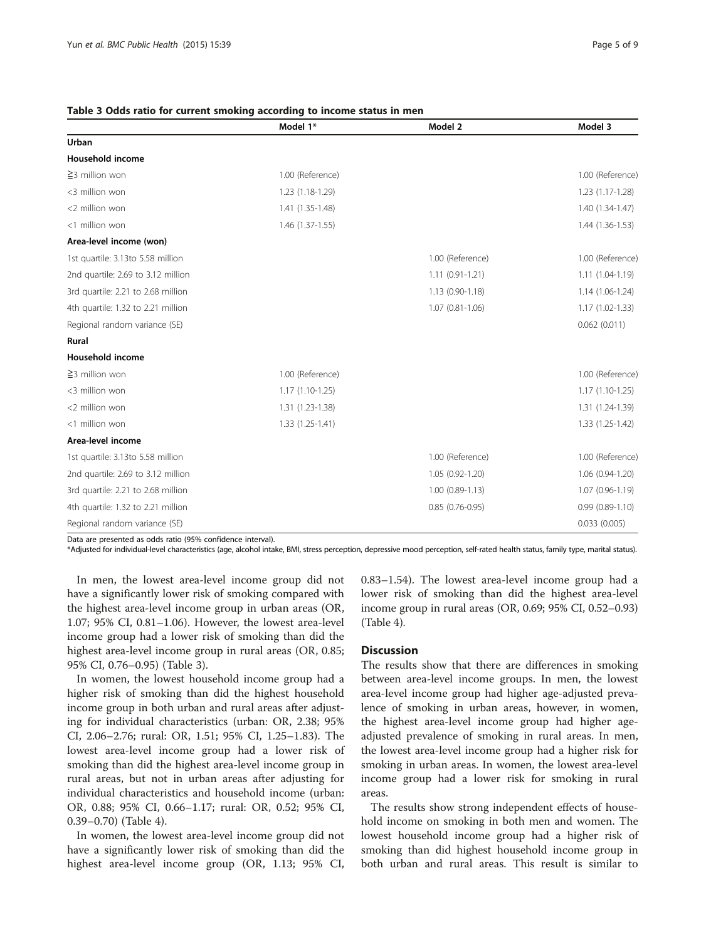|                                    | Model 1*          | Model 2             | Model 3           |
|------------------------------------|-------------------|---------------------|-------------------|
| Urban                              |                   |                     |                   |
| <b>Household income</b>            |                   |                     |                   |
| $\geq$ 3 million won               | 1.00 (Reference)  |                     | 1.00 (Reference)  |
| <3 million won                     | 1.23 (1.18-1.29)  |                     | $1.23(1.17-1.28)$ |
| <2 million won                     | $1.41(1.35-1.48)$ |                     | $1.40(1.34-1.47)$ |
| <1 million won                     | $1.46(1.37-1.55)$ |                     | $1.44(1.36-1.53)$ |
| Area-level income (won)            |                   |                     |                   |
| 1st quartile: 3.13to 5.58 million  |                   | 1.00 (Reference)    | 1.00 (Reference)  |
| 2nd quartile: 2.69 to 3.12 million |                   | $1.11(0.91 - 1.21)$ | $1.11(1.04-1.19)$ |
| 3rd quartile: 2.21 to 2.68 million |                   | $1.13(0.90-1.18)$   | $1.14(1.06-1.24)$ |
| 4th quartile: 1.32 to 2.21 million |                   | $1.07(0.81 - 1.06)$ | $1.17(1.02-1.33)$ |
| Regional random variance (SE)      |                   |                     | 0.062(0.011)      |
| Rural                              |                   |                     |                   |
| <b>Household income</b>            |                   |                     |                   |
| $\geq$ 3 million won               | 1.00 (Reference)  |                     | 1.00 (Reference)  |
| <3 million won                     | $1.17(1.10-1.25)$ |                     | $1.17(1.10-1.25)$ |
| <2 million won                     | 1.31 (1.23-1.38)  |                     | 1.31 (1.24-1.39)  |
| <1 million won                     | $1.33(1.25-1.41)$ |                     | $1.33(1.25-1.42)$ |
| Area-level income                  |                   |                     |                   |
| 1st quartile: 3.13to 5.58 million  |                   | 1.00 (Reference)    | 1.00 (Reference)  |
| 2nd quartile: 2.69 to 3.12 million |                   | 1.05 (0.92-1.20)    | 1.06 (0.94-1.20)  |
| 3rd quartile: 2.21 to 2.68 million |                   | $1.00(0.89-1.13)$   | 1.07 (0.96-1.19)  |
| 4th quartile: 1.32 to 2.21 million |                   | $0.85(0.76-0.95)$   | $0.99(0.89-1.10)$ |
| Regional random variance (SE)      |                   |                     | 0.033(0.005)      |

## <span id="page-4-0"></span>Table 3 Odds ratio for current smoking according to income status in men

Data are presented as odds ratio (95% confidence interval).

\*Adjusted for individual-level characteristics (age, alcohol intake, BMI, stress perception, depressive mood perception, self-rated health status, family type, marital status).

In men, the lowest area-level income group did not have a significantly lower risk of smoking compared with the highest area-level income group in urban areas (OR, 1.07; 95% CI, 0.81–1.06). However, the lowest area-level income group had a lower risk of smoking than did the highest area-level income group in rural areas (OR, 0.85; 95% CI, 0.76–0.95) (Table 3).

In women, the lowest household income group had a higher risk of smoking than did the highest household income group in both urban and rural areas after adjusting for individual characteristics (urban: OR, 2.38; 95% CI, 2.06–2.76; rural: OR, 1.51; 95% CI, 1.25–1.83). The lowest area-level income group had a lower risk of smoking than did the highest area-level income group in rural areas, but not in urban areas after adjusting for individual characteristics and household income (urban: OR, 0.88; 95% CI, 0.66–1.17; rural: OR, 0.52; 95% CI, 0.39–0.70) (Table [4\)](#page-5-0).

In women, the lowest area-level income group did not have a significantly lower risk of smoking than did the highest area-level income group (OR, 1.13; 95% CI, 0.83–1.54). The lowest area-level income group had a lower risk of smoking than did the highest area-level income group in rural areas (OR, 0.69; 95% CI, 0.52–0.93) (Table [4](#page-5-0)).

## **Discussion**

The results show that there are differences in smoking between area-level income groups. In men, the lowest area-level income group had higher age-adjusted prevalence of smoking in urban areas, however, in women, the highest area-level income group had higher ageadjusted prevalence of smoking in rural areas. In men, the lowest area-level income group had a higher risk for smoking in urban areas. In women, the lowest area-level income group had a lower risk for smoking in rural areas.

The results show strong independent effects of household income on smoking in both men and women. The lowest household income group had a higher risk of smoking than did highest household income group in both urban and rural areas. This result is similar to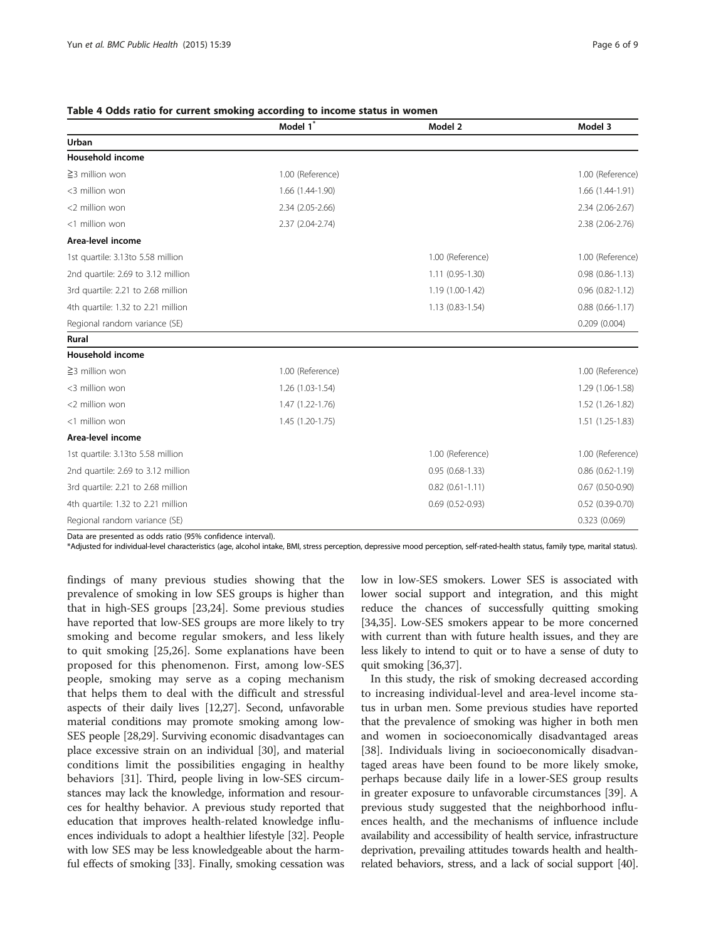|                                    | Model 1*         | Model 2                | Model 3                |
|------------------------------------|------------------|------------------------|------------------------|
| Urban                              |                  |                        |                        |
| Household income                   |                  |                        |                        |
| $\geq$ 3 million won               | 1.00 (Reference) |                        | 1.00 (Reference)       |
| <3 million won                     | 1.66 (1.44-1.90) |                        | 1.66 (1.44-1.91)       |
| <2 million won                     | 2.34 (2.05-2.66) |                        | 2.34 (2.06-2.67)       |
| <1 million won                     | 2.37 (2.04-2.74) |                        | 2.38 (2.06-2.76)       |
| Area-level income                  |                  |                        |                        |
| 1st quartile: 3.13to 5.58 million  |                  | 1.00 (Reference)       | 1.00 (Reference)       |
| 2nd quartile: 2.69 to 3.12 million |                  | 1.11 (0.95-1.30)       | $0.98(0.86 - 1.13)$    |
| 3rd quartile: 2.21 to 2.68 million |                  | 1.19 (1.00-1.42)       | $0.96(0.82 - 1.12)$    |
| 4th quartile: 1.32 to 2.21 million |                  | $1.13(0.83 - 1.54)$    | $0.88$ $(0.66 - 1.17)$ |
| Regional random variance (SE)      |                  |                        | 0.209(0.004)           |
| <b>Rural</b>                       |                  |                        |                        |
| <b>Household income</b>            |                  |                        |                        |
| $\geq$ 3 million won               | 1.00 (Reference) |                        | 1.00 (Reference)       |
| <3 million won                     | 1.26 (1.03-1.54) |                        | 1.29 (1.06-1.58)       |
| <2 million won                     | 1.47 (1.22-1.76) |                        | 1.52 (1.26-1.82)       |
| <1 million won                     | 1.45 (1.20-1.75) |                        | $1.51(1.25-1.83)$      |
| Area-level income                  |                  |                        |                        |
| 1st quartile: 3.13to 5.58 million  |                  | 1.00 (Reference)       | 1.00 (Reference)       |
| 2nd quartile: 2.69 to 3.12 million |                  | $0.95(0.68-1.33)$      | $0.86$ $(0.62 - 1.19)$ |
| 3rd quartile: 2.21 to 2.68 million |                  | $0.82$ $(0.61 - 1.11)$ | $0.67(0.50-0.90)$      |
| 4th quartile: 1.32 to 2.21 million |                  | $0.69(0.52 - 0.93)$    | $0.52(0.39 - 0.70)$    |
| Regional random variance (SE)      |                  |                        | 0.323(0.069)           |

## <span id="page-5-0"></span>Table 4 Odds ratio for current smoking according to income status in women

Data are presented as odds ratio (95% confidence interval).

\*Adjusted for individual-level characteristics (age, alcohol intake, BMI, stress perception, depressive mood perception, self-rated-health status, family type, marital status).

findings of many previous studies showing that the prevalence of smoking in low SES groups is higher than that in high-SES groups [\[23,24](#page-7-0)]. Some previous studies have reported that low-SES groups are more likely to try smoking and become regular smokers, and less likely to quit smoking [[25,26\]](#page-7-0). Some explanations have been proposed for this phenomenon. First, among low-SES people, smoking may serve as a coping mechanism that helps them to deal with the difficult and stressful aspects of their daily lives [\[12,27](#page-7-0)]. Second, unfavorable material conditions may promote smoking among low-SES people [\[28,29\]](#page-7-0). Surviving economic disadvantages can place excessive strain on an individual [[30](#page-7-0)], and material conditions limit the possibilities engaging in healthy behaviors [[31\]](#page-8-0). Third, people living in low-SES circumstances may lack the knowledge, information and resources for healthy behavior. A previous study reported that education that improves health-related knowledge influences individuals to adopt a healthier lifestyle [\[32\]](#page-8-0). People with low SES may be less knowledgeable about the harmful effects of smoking [[33](#page-8-0)]. Finally, smoking cessation was low in low-SES smokers. Lower SES is associated with lower social support and integration, and this might reduce the chances of successfully quitting smoking [[34](#page-8-0),[35](#page-8-0)]. Low-SES smokers appear to be more concerned with current than with future health issues, and they are less likely to intend to quit or to have a sense of duty to quit smoking [\[36,37](#page-8-0)].

In this study, the risk of smoking decreased according to increasing individual-level and area-level income status in urban men. Some previous studies have reported that the prevalence of smoking was higher in both men and women in socioeconomically disadvantaged areas [[38\]](#page-8-0). Individuals living in socioeconomically disadvantaged areas have been found to be more likely smoke, perhaps because daily life in a lower-SES group results in greater exposure to unfavorable circumstances [\[39](#page-8-0)]. A previous study suggested that the neighborhood influences health, and the mechanisms of influence include availability and accessibility of health service, infrastructure deprivation, prevailing attitudes towards health and healthrelated behaviors, stress, and a lack of social support [\[40](#page-8-0)].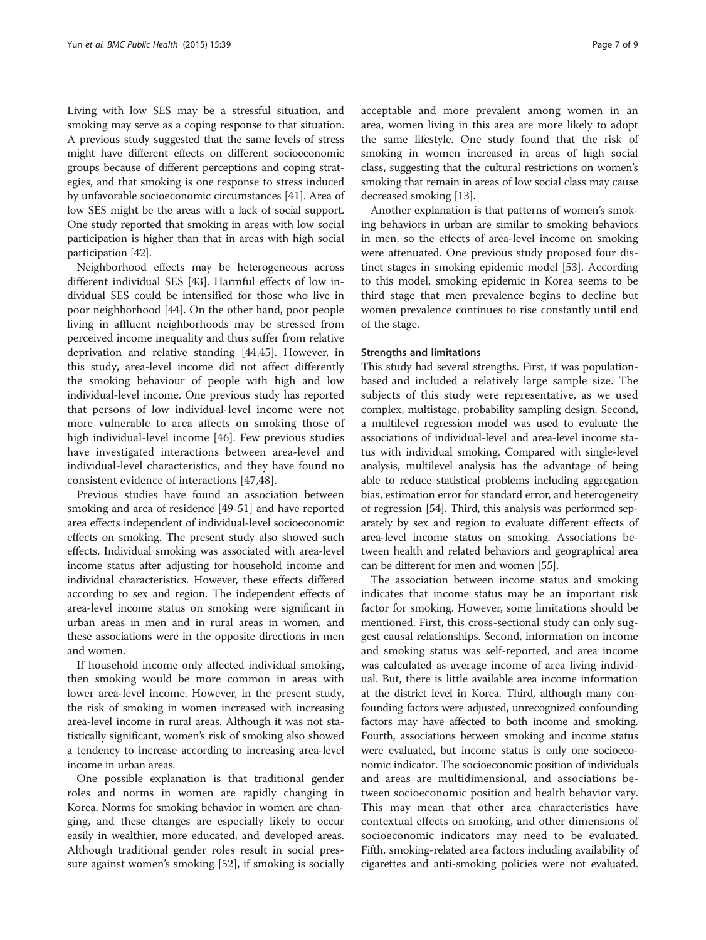Living with low SES may be a stressful situation, and smoking may serve as a coping response to that situation. A previous study suggested that the same levels of stress might have different effects on different socioeconomic groups because of different perceptions and coping strategies, and that smoking is one response to stress induced by unfavorable socioeconomic circumstances [\[41\]](#page-8-0). Area of low SES might be the areas with a lack of social support. One study reported that smoking in areas with low social participation is higher than that in areas with high social participation [\[42\]](#page-8-0).

Neighborhood effects may be heterogeneous across different individual SES [[43\]](#page-8-0). Harmful effects of low individual SES could be intensified for those who live in poor neighborhood [[44\]](#page-8-0). On the other hand, poor people living in affluent neighborhoods may be stressed from perceived income inequality and thus suffer from relative deprivation and relative standing [[44,45\]](#page-8-0). However, in this study, area-level income did not affect differently the smoking behaviour of people with high and low individual-level income. One previous study has reported that persons of low individual-level income were not more vulnerable to area affects on smoking those of high individual-level income [\[46](#page-8-0)]. Few previous studies have investigated interactions between area-level and individual-level characteristics, and they have found no consistent evidence of interactions [[47,48](#page-8-0)].

Previous studies have found an association between smoking and area of residence [\[49-51](#page-8-0)] and have reported area effects independent of individual-level socioeconomic effects on smoking. The present study also showed such effects. Individual smoking was associated with area-level income status after adjusting for household income and individual characteristics. However, these effects differed according to sex and region. The independent effects of area-level income status on smoking were significant in urban areas in men and in rural areas in women, and these associations were in the opposite directions in men and women.

If household income only affected individual smoking, then smoking would be more common in areas with lower area-level income. However, in the present study, the risk of smoking in women increased with increasing area-level income in rural areas. Although it was not statistically significant, women's risk of smoking also showed a tendency to increase according to increasing area-level income in urban areas.

One possible explanation is that traditional gender roles and norms in women are rapidly changing in Korea. Norms for smoking behavior in women are changing, and these changes are especially likely to occur easily in wealthier, more educated, and developed areas. Although traditional gender roles result in social pressure against women's smoking [\[52\]](#page-8-0), if smoking is socially

acceptable and more prevalent among women in an area, women living in this area are more likely to adopt the same lifestyle. One study found that the risk of smoking in women increased in areas of high social class, suggesting that the cultural restrictions on women's smoking that remain in areas of low social class may cause decreased smoking [\[13](#page-7-0)].

Another explanation is that patterns of women's smoking behaviors in urban are similar to smoking behaviors in men, so the effects of area-level income on smoking were attenuated. One previous study proposed four distinct stages in smoking epidemic model [[53](#page-8-0)]. According to this model, smoking epidemic in Korea seems to be third stage that men prevalence begins to decline but women prevalence continues to rise constantly until end of the stage.

## Strengths and limitations

This study had several strengths. First, it was populationbased and included a relatively large sample size. The subjects of this study were representative, as we used complex, multistage, probability sampling design. Second, a multilevel regression model was used to evaluate the associations of individual-level and area-level income status with individual smoking. Compared with single-level analysis, multilevel analysis has the advantage of being able to reduce statistical problems including aggregation bias, estimation error for standard error, and heterogeneity of regression [\[54\]](#page-8-0). Third, this analysis was performed separately by sex and region to evaluate different effects of area-level income status on smoking. Associations between health and related behaviors and geographical area can be different for men and women [[55](#page-8-0)].

The association between income status and smoking indicates that income status may be an important risk factor for smoking. However, some limitations should be mentioned. First, this cross-sectional study can only suggest causal relationships. Second, information on income and smoking status was self-reported, and area income was calculated as average income of area living individual. But, there is little available area income information at the district level in Korea. Third, although many confounding factors were adjusted, unrecognized confounding factors may have affected to both income and smoking. Fourth, associations between smoking and income status were evaluated, but income status is only one socioeconomic indicator. The socioeconomic position of individuals and areas are multidimensional, and associations between socioeconomic position and health behavior vary. This may mean that other area characteristics have contextual effects on smoking, and other dimensions of socioeconomic indicators may need to be evaluated. Fifth, smoking-related area factors including availability of cigarettes and anti-smoking policies were not evaluated.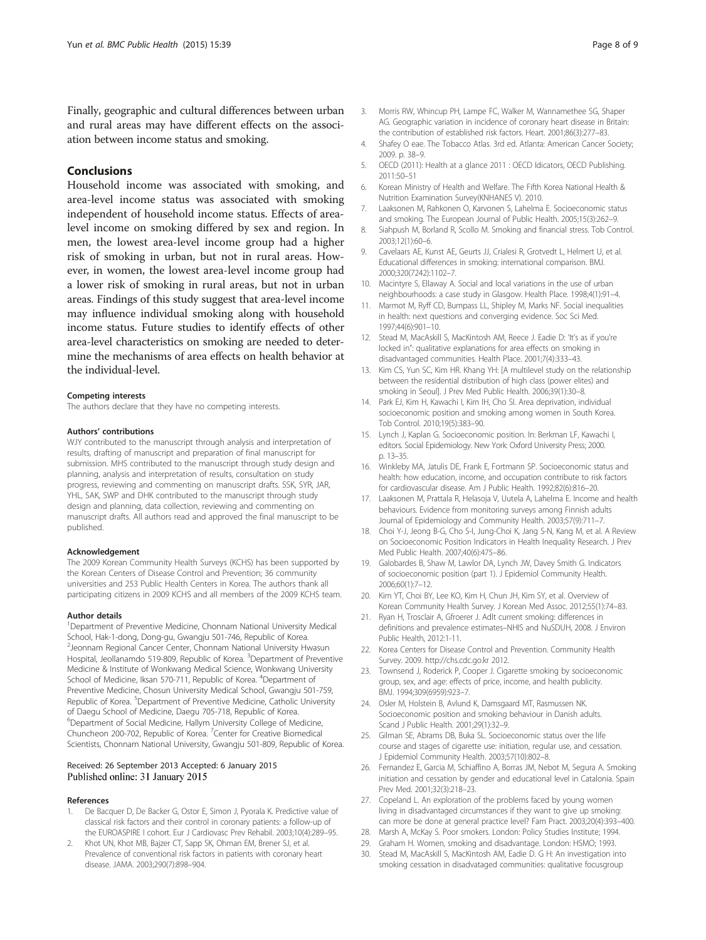<span id="page-7-0"></span>Finally, geographic and cultural differences between urban and rural areas may have different effects on the association between income status and smoking.

## **Conclusions**

Household income was associated with smoking, and area-level income status was associated with smoking independent of household income status. Effects of arealevel income on smoking differed by sex and region. In men, the lowest area-level income group had a higher risk of smoking in urban, but not in rural areas. However, in women, the lowest area-level income group had a lower risk of smoking in rural areas, but not in urban areas. Findings of this study suggest that area-level income may influence individual smoking along with household income status. Future studies to identify effects of other area-level characteristics on smoking are needed to determine the mechanisms of area effects on health behavior at the individual-level.

## Competing interests

The authors declare that they have no competing interests.

## Authors' contributions

WJY contributed to the manuscript through analysis and interpretation of results, drafting of manuscript and preparation of final manuscript for submission. MHS contributed to the manuscript through study design and planning, analysis and interpretation of results, consultation on study progress, reviewing and commenting on manuscript drafts. SSK, SYR, JAR, YHL, SAK, SWP and DHK contributed to the manuscript through study design and planning, data collection, reviewing and commenting on manuscript drafts. All authors read and approved the final manuscript to be published.

## Acknowledgement

The 2009 Korean Community Health Surveys (KCHS) has been supported by the Korean Centers of Disease Control and Prevention; 36 community universities and 253 Public Health Centers in Korea. The authors thank all participating citizens in 2009 KCHS and all members of the 2009 KCHS team.

#### Author details

<sup>1</sup>Department of Preventive Medicine, Chonnam National University Medical School, Hak-1-dong, Dong-gu, Gwangju 501-746, Republic of Korea. 2 Jeonnam Regional Cancer Center, Chonnam National University Hwasun Hospital, Jeollanamdo 519-809, Republic of Korea. <sup>3</sup>Department of Preventive Medicine & Institute of Wonkwang Medical Science, Wonkwang University School of Medicine, Iksan 570-711, Republic of Korea. <sup>4</sup>Department of Preventive Medicine, Chosun University Medical School, Gwangju 501-759, Republic of Korea. <sup>5</sup>Department of Preventive Medicine, Catholic University of Daegu School of Medicine, Daegu 705-718, Republic of Korea. 6 Department of Social Medicine, Hallym University College of Medicine, Chuncheon 200-702, Republic of Korea. <sup>7</sup>Center for Creative Biomedical Scientists, Chonnam National University, Gwangju 501-809, Republic of Korea.

## Received: 26 September 2013 Accepted: 6 January 2015 Published online: 31 January 2015

## References

- De Bacquer D, De Backer G, Ostor E, Simon J, Pyorala K. Predictive value of classical risk factors and their control in coronary patients: a follow-up of the EUROASPIRE I cohort. Eur J Cardiovasc Prev Rehabil. 2003;10(4):289–95.
- Khot UN, Khot MB, Bajzer CT, Sapp SK, Ohman EM, Brener SJ, et al. Prevalence of conventional risk factors in patients with coronary heart disease. JAMA. 2003;290(7):898–904.
- 3. Morris RW, Whincup PH, Lampe FC, Walker M, Wannamethee SG, Shaper AG. Geographic variation in incidence of coronary heart disease in Britain: the contribution of established risk factors. Heart. 2001;86(3):277–83.
- 4. Shafey O eae. The Tobacco Atlas. 3rd ed. Atlanta: American Cancer Society; 2009. p. 38–9.
- 5. OECD (2011): Health at a glance 2011 : OECD Idicators, OECD Publishing. 2011:50–51
- 6. Korean Ministry of Health and Welfare. The Fifth Korea National Health & Nutrition Examination Survey(KNHANES V). 2010.
- 7. Laaksonen M, Rahkonen O, Karvonen S, Lahelma E. Socioeconomic status and smoking. The European Journal of Public Health. 2005;15(3):262–9.
- 8. Siahpush M, Borland R, Scollo M. Smoking and financial stress. Tob Control. 2003;12(1):60–6.
- 9. Cavelaars AE, Kunst AE, Geurts JJ, Crialesi R, Grotvedt L, Helmert U, et al. Educational differences in smoking: international comparison. BMJ. 2000;320(7242):1102–7.
- 10. Macintyre S, Ellaway A. Social and local variations in the use of urban neighbourhoods: a case study in Glasgow. Health Place. 1998;4(1):91–4.
- 11. Marmot M, Ryff CD, Bumpass LL, Shipley M, Marks NF. Social inequalities in health: next questions and converging evidence. Soc Sci Med. 1997;44(6):901–10.
- 12. Stead M, MacAskill S, MacKintosh AM, Reece J. Eadie D: 'It's as if you're locked in": qualitative explanations for area effects on smoking in disadvantaged communities. Health Place. 2001;7(4):333–43.
- 13. Kim CS, Yun SC, Kim HR. Khang YH: [A multilevel study on the relationship between the residential distribution of high class (power elites) and smoking in Seoul]. J Prev Med Public Health. 2006;39(1):30–8.
- 14. Park EJ, Kim H, Kawachi I, Kim IH, Cho SI. Area deprivation, individual socioeconomic position and smoking among women in South Korea. Tob Control. 2010;19(5):383–90.
- 15. Lynch J, Kaplan G. Socioeconomic position. In: Berkman LF, Kawachi I, editors. Social Epidemiology. New York: Oxford University Press; 2000. p. 13–35.
- 16. Winkleby MA, Jatulis DE, Frank E, Fortmann SP. Socioeconomic status and health: how education, income, and occupation contribute to risk factors for cardiovascular disease. Am J Public Health. 1992;82(6):816–20.
- 17. Laaksonen M, Prattala R, Helasoja V, Uutela A, Lahelma E. Income and health behaviours. Evidence from monitoring surveys among Finnish adults Journal of Epidemiology and Community Health. 2003;57(9):711–7.
- 18. Choi Y-J, Jeong B-G, Cho S-I, Jung-Choi K, Jang S-N, Kang M, et al. A Review on Socioeconomic Position Indicators in Health Inequality Research. J Prev Med Public Health. 2007;40(6):475–86.
- 19. Galobardes B, Shaw M, Lawlor DA, Lynch JW, Davey Smith G. Indicators of socioeconomic position (part 1). J Epidemiol Community Health. 2006;60(1):7–12.
- 20. Kim YT, Choi BY, Lee KO, Kim H, Chun JH, Kim SY, et al. Overview of Korean Community Health Survey. J Korean Med Assoc. 2012;55(1):74–83.
- 21. Ryan H, Trosclair A, Gfroerer J. Adlt current smoking: differences in definitions and prevalence estimates–NHIS and NuSDUH, 2008. J Environ Public Health, 2012:1-11.
- 22. Korea Centers for Disease Control and Prevention. Community Health Survey. 2009.<http://chs.cdc.go.kr> 2012.
- 23. Townsend J, Roderick P, Cooper J. Cigarette smoking by socioeconomic group, sex, and age: effects of price, income, and health publicity. BMJ. 1994;309(6959):923–7.
- 24. Osler M, Holstein B, Avlund K, Damsgaard MT, Rasmussen NK. Socioeconomic position and smoking behaviour in Danish adults. Scand J Public Health. 2001;29(1):32–9.
- 25. Gilman SE, Abrams DB, Buka SL. Socioeconomic status over the life course and stages of cigarette use: initiation, regular use, and cessation. J Epidemiol Community Health. 2003;57(10):802–8.
- 26. Fernandez E, Garcia M, Schiaffino A, Borras JM, Nebot M, Segura A. Smoking initiation and cessation by gender and educational level in Catalonia. Spain Prev Med. 2001;32(3):218–23.
- 27. Copeland L. An exploration of the problems faced by young women living in disadvantaged circumstances if they want to give up smoking: can more be done at general practice level? Fam Pract. 2003;20(4):393–400.
- 28. Marsh A, McKay S. Poor smokers. London: Policy Studies Institute; 1994.
- 29. Graham H. Women, smoking and disadvantage. London: HSMO; 1993.
- 30. Stead M, MacAskill S, MacKintosh AM, Eadie D. G H: An investigation into smoking cessation in disadvataged communities: qualitative focusgroup